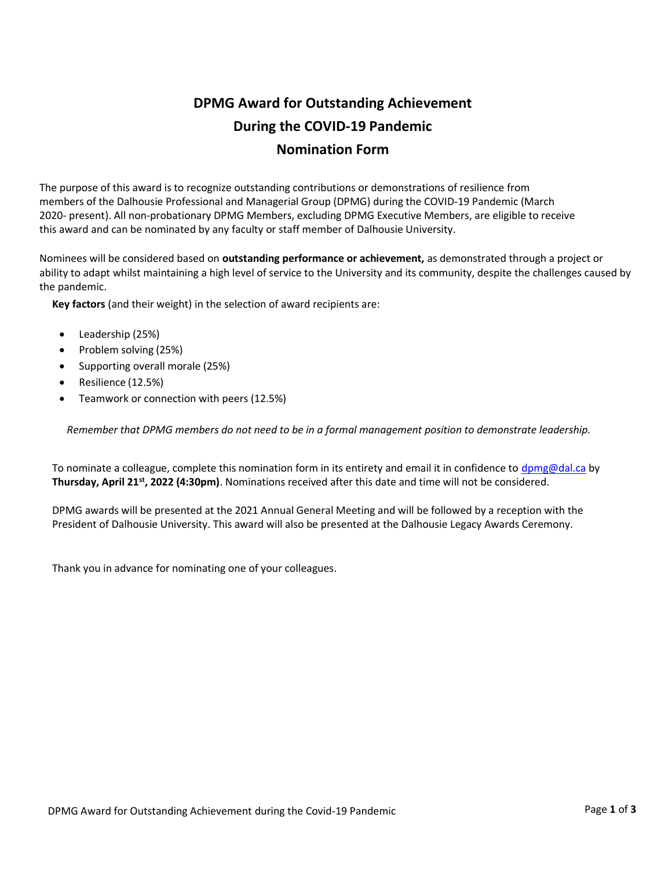# DPMG Award for Outstanding Achievement During the COVID-19 Pandemic Nomination Form

The purpose of this award is to recognize outstanding contributions or demonstrations of resilience from members of the Dalhousie Professional and Managerial Group (DPMG) during the COVID-19 Pandemic (March 2020- present). All non-probationary DPMG Members, excluding DPMG Executive Members, are eligible to receive this award and can be nominated by any faculty or staff member of Dalhousie University.

Nominees will be considered based on outstanding performance or achievement, as demonstrated through a project or ability to adapt whilst maintaining a high level of service to the University and its community, despite the challenges caused by the pandemic.

Key factors (and their weight) in the selection of award recipients are:

- Leadership (25%)
- Problem solving (25%)
- Supporting overall morale (25%)
- Resilience (12.5%)
- Teamwork or connection with peers (12.5%)

Remember that DPMG members do not need to be in a formal management position to demonstrate leadership.

To nominate a colleague, complete this nomination form in its entirety and email it in confidence to dpmg@dal.ca by Thursday, April 21<sup>st</sup>, 2022 (4:30pm). Nominations received after this date and time will not be considered.

DPMG awards will be presented at the 2021 Annual General Meeting and will be followed by a reception with the President of Dalhousie University. This award will also be presented at the Dalhousie Legacy Awards Ceremony.

Thank you in advance for nominating one of your colleagues.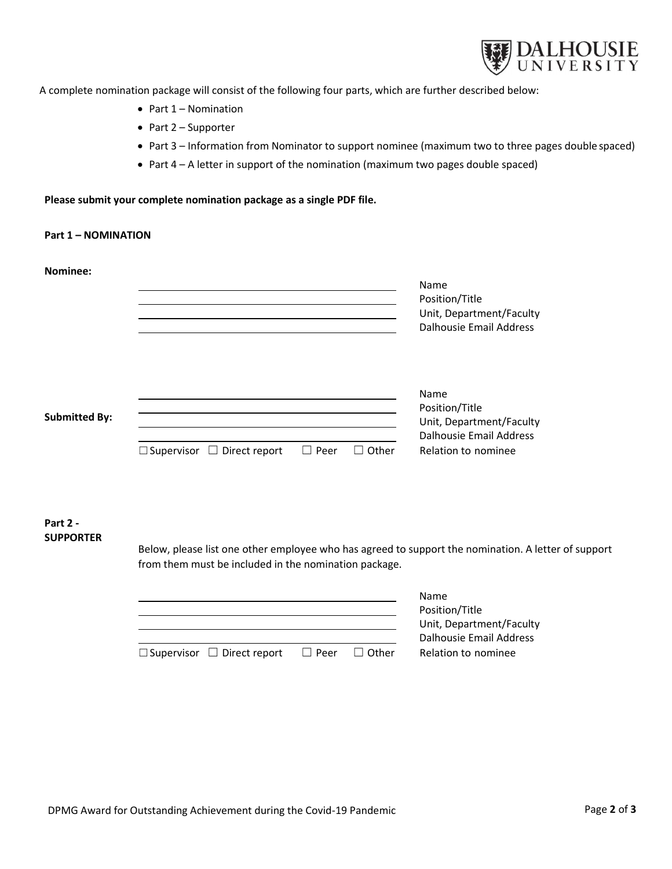

A complete nomination package will consist of the following four parts, which are further described below:

- $\bullet$  Part 1 Nomination
- Part 2 Supporter
- Part 3 Information from Nominator to support nominee (maximum two to three pages double spaced)
- Part 4 A letter in support of the nomination (maximum two pages double spaced)

#### Please submit your complete nomination package as a single PDF file.

# Part 1 – NOMINATION

Nominee:

| NUITIITEE.           |                                           |               | Name<br>Position/Title<br>Unit, Department/Faculty<br><b>Dalhousie Email Address</b> |
|----------------------|-------------------------------------------|---------------|--------------------------------------------------------------------------------------|
| <b>Submitted By:</b> |                                           |               | Name<br>Position/Title<br>Unit, Department/Faculty<br>Dalhousie Email Address        |
|                      | $\Box$ Supervisor<br>$\Box$ Direct report | Other<br>Peer | Relation to nominee                                                                  |

### Part 2 - SUPPORTER

Below, please list one other employee who has agreed to support the nomination. A letter of support from them must be included in the nomination package.

|                                        |             |              | <b>Name</b>              |  |
|----------------------------------------|-------------|--------------|--------------------------|--|
|                                        |             |              | Position/Title           |  |
|                                        |             |              | Unit, Department/Faculty |  |
|                                        |             |              | Dalhousie Email Address  |  |
| $\Box$ Supervisor $\Box$ Direct report | $\Box$ Peer | $\Box$ Other | Relation to nominee      |  |